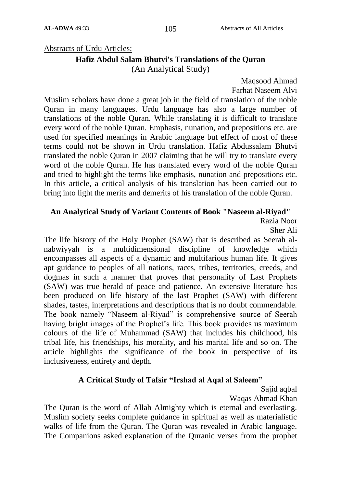### Abstracts of Urdu Articles:

# **Hafiz Abdul Salam Bhutvi's Translations of the Quran**

(An Analytical Study)

Maqsood Ahmad Farhat Naseem Alvi

Muslim scholars have done a great job in the field of translation of the noble Quran in many languages. Urdu language has also a large number of translations of the noble Quran. While translating it is difficult to translate every word of the noble Quran. Emphasis, nunation, and prepositions etc. are used for specified meanings in Arabic language but effect of most of these terms could not be shown in Urdu translation. Hafiz Abdussalam Bhutvi translated the noble Quran in 2007 claiming that he will try to translate every word of the noble Quran. He has translated every word of the noble Quran and tried to highlight the terms like emphasis, nunation and prepositions etc. In this article, a critical analysis of his translation has been carried out to bring into light the merits and demerits of his translation of the noble Quran.

#### **An Analytical Study of Variant Contents of Book "Naseem al-Riyad"**

Razia Noor

Sher Ali

The life history of the Holy Prophet (SAW) that is described as Seerah alnabwiyyah is a multidimensional discipline of knowledge which encompasses all aspects of a dynamic and multifarious human life. It gives apt guidance to peoples of all nations, races, tribes, territories, creeds, and dogmas in such a manner that proves that personality of Last Prophets (SAW) was true herald of peace and patience. An extensive literature has been produced on life history of the last Prophet (SAW) with different shades, tastes, interpretations and descriptions that is no doubt commendable. The book namely "Naseem al-Riyad" is comprehensive source of Seerah having bright images of the Prophet"s life. This book provides us maximum colours of the life of Muhammad (SAW) that includes his childhood, his tribal life, his friendships, his morality, and his marital life and so on. The article highlights the significance of the book in perspective of its inclusiveness, entirety and depth.

### **A Critical Study of Tafsir "Irshad al Aqal al Saleem"**

Sajid aqbal

Waqas Ahmad Khan

The Quran is the word of Allah Almighty which is eternal and everlasting. Muslim society seeks complete guidance in spiritual as well as materialistic walks of life from the Quran. The Quran was revealed in Arabic language. The Companions asked explanation of the Quranic verses from the prophet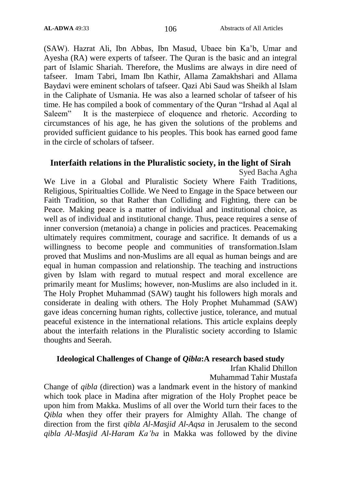(SAW). Hazrat Ali, Ibn Abbas, Ibn Masud, Ubaee bin Ka"b, Umar and Ayesha (RA) were experts of tafseer. The Quran is the basic and an integral part of Islamic Shariah. Therefore, the Muslims are always in dire need of tafseer. Imam Tabri, Imam Ibn Kathir, Allama Zamakhshari and Allama Baydavi were eminent scholars of tafseer. Qazi Abi Saud was Sheikh al Islam in the Caliphate of Usmania. He was also a learned scholar of tafseer of his time. He has compiled a book of commentary of the Quran "Irshad al Aqal al Saleem" It is the masterpiece of eloquence and rhetoric. According to circumstances of his age, he has given the solutions of the problems and provided sufficient guidance to his peoples. This book has earned good fame in the circle of scholars of tafseer.

# **Interfaith relations in the Pluralistic society, in the light of Sirah**

Syed Bacha Agha

We Live in a Global and Pluralistic Society Where Faith Traditions, Religious, Spiritualties Collide. We Need to Engage in the Space between our Faith Tradition, so that Rather than Colliding and Fighting, there can be Peace. Making peace is a matter of individual and institutional choice, as well as of individual and institutional change. Thus, peace requires a sense of inner conversion (metanoia) a change in policies and practices. Peacemaking ultimately requires commitment, courage and sacrifice. It demands of us a willingness to become people and communities of transformation.Islam proved that Muslims and non-Muslims are all equal as human beings and are equal in human compassion and relationship. The teaching and instructions given by Islam with regard to mutual respect and moral excellence are primarily meant for Muslims; however, non-Muslims are also included in it. The Holy Prophet Muhammad (SAW) taught his followers high morals and considerate in dealing with others. The Holy Prophet Muhammad (SAW) gave ideas concerning human rights, collective justice, tolerance, and mutual peaceful existence in the international relations. This article explains deeply about the interfaith relations in the Pluralistic society according to Islamic thoughts and Seerah.

### **Ideological Challenges of Change of** *Qibla***:A research based study**

Irfan Khalid Dhillon

Muhammad Tahir Mustafa

Change of *qibla* (direction) was a landmark event in the history of mankind which took place in Madina after migration of the Holy Prophet peace be upon him from Makka. Muslims of all over the World turn their faces to the *Qibla* when they offer their prayers for Almighty Allah. The change of direction from the first *qibla Al-Masjid Al-Aqsa* in Jerusalem to the second *qibla Al-Masjid Al-Haram Ka'ba* in Makka was followed by the divine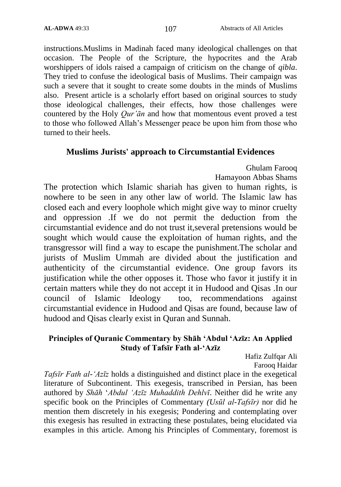instructions.Muslims in Madinah faced many ideological challenges on that occasion. The People of the Scripture, the hypocrites and the Arab worshippers of idols raised a campaign of criticism on the change of *qibla*. They tried to confuse the ideological basis of Muslims. Their campaign was such a severe that it sought to create some doubts in the minds of Muslims also. Present article is a scholarly effort based on original sources to study those ideological challenges, their effects, how those challenges were countered by the Holy *Qur'ān* and how that momentous event proved a test to those who followed Allah"s Messenger peace be upon him from those who turned to their heels.

# **Muslims Jurists' approach to Circumstantial Evidences**

Ghulam Farooq Hamayoon Abbas Shams

The protection which Islamic shariah has given to human rights, is nowhere to be seen in any other law of world. The Islamic law has closed each and every loophole which might give way to minor cruelty and oppression .If we do not permit the deduction from the circumstantial evidence and do not trust it,several pretensions would be sought which would cause the exploitation of human rights, and the transgressor will find a way to escape the punishment.The scholar and jurists of Muslim Ummah are divided about the justification and authenticity of the circumstantial evidence. One group favors its justification while the other opposes it. Those who favor it justify it in certain matters while they do not accept it in Hudood and Qisas .In our council of Islamic Ideology too, recommendations against circumstantial evidence in Hudood and Qisas are found, because law of hudood and Qisas clearly exist in Quran and Sunnah.

# **Principles of Quranic Commentary by Shāh "Abdul "Azīz: An Applied Study of Tafsīr Fath al-"Azīz**

Hafiz Zulfqar Ali Farooq Haidar

*Tafsīr Fath al-'Azīz* holds a distinguished and distinct place in the exegetical literature of Subcontinent. This exegesis, transcribed in Persian, has been authored by *Shāh* "*Abdul 'Azīz Muhaddith Dehlvī*. Neither did he write any specific book on the Principles of Commentary *(Usūl al-Tafsīr)* nor did he mention them discretely in his exegesis; Pondering and contemplating over this exegesis has resulted in extracting these postulates, being elucidated via examples in this article. Among his Principles of Commentary, foremost is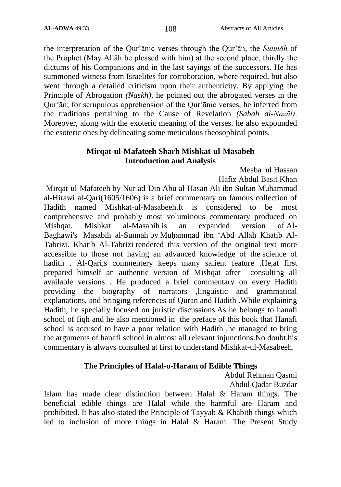the interpretation of the Qur"ānic verses through the Qur"ān, the *Sunnāh* of the Prophet (May Allāh be pleased with him) at the second place, thirdly the dictums of his Companions and in the last sayings of the successors. He has summoned witness from Israelites for corroboration, where required, but also went through a detailed criticism upon their authenticity. By applying the Principle of Abrogation *(Naskh)*, he pointed out the abrogated verses in the Qur"ān; for scrupulous apprehension of the Qur"ānic verses, he inferred from the traditions pertaining to the Cause of Revelation *(Sabab al-Nazūl)*. Moreover, along with the exoteric meaning of the verses, he also expounded the esoteric ones by delineating some meticulous theosophical points.

### **Mirqat-ul-Mafateeh Sharh Mishkat-ul-Masabeh Introduction and Analysis**

Mesba ul Hassan Hafiz Abdul Basit Khan

Mirqat-ul-Mafateeh by Nur ad-Din Abu al-Hasan Ali ibn Sultan Muhammad al-Hirawi al-Qari(1605/1606) is a brief commentary on famous collection of Hadith named Mishkat-ul-Masabeeh.It is considered to be most comprehensive and probably most voluminous commentary produced on Mishqat. Mishkat al-Masabih is an expanded version of [Al-](https://en.wikipedia.org/wiki/Al-Baghawi)[Baghawi's](https://en.wikipedia.org/wiki/Al-Baghawi) [Masabih al-Sunnah](https://en.wikipedia.org/wiki/Masabih_al-Sunnah) by [Muḥammad ibn ʻAbd Allāh Khatib Al-](https://en.wikipedia.org/w/index.php?title=Mu%E1%B8%A5ammad_ibn_%CA%BBAbd_All%C4%81h_Khatib_Al-Tabrizi&action=edit&redlink=1)[Tabrizi.](https://en.wikipedia.org/w/index.php?title=Mu%E1%B8%A5ammad_ibn_%CA%BBAbd_All%C4%81h_Khatib_Al-Tabrizi&action=edit&redlink=1) Khatib Al-Tabrizi rendered this version of the original text more accessible to those not having an advanced knowledge of the [science of](https://en.wikipedia.org/wiki/Science_of_hadith)  [hadith](https://en.wikipedia.org/wiki/Science_of_hadith) . Al-Qari,s commentery keeps many salient feature .He,at first prepared himself an authentic version of Mishqat after consulting all available versions . He produced a brief commentary on every Hadith providing the biography of narrators ,linguistic and grammatical explanations, and bringing references of Quran and Hadith .While explaining Hadith, he specially focused on juristic discussions.As he belongs to hanafi school of fiqh and he also mentioned in the preface of this book that Hanafi school is accused to have a poor relation with Hadith ,he managed to bring the arguments of hanafi school in almost all relevant injunctions.No doubt,his commentary is always consulted at first to understand Mishkat-ul-Masabeeh.

# **The Principles of Halal-o-Haram of Edible Things**

Abdul Rehman Qasmi Abdul Qadar Buzdar

Islam has made clear distinction between Halal & Haram things. The beneficial edible things are Halal while the harmful are Haram and prohibited. It has also stated the Principle of Tayyab & Khabith things which led to inclusion of more things in Halal & Haram. The Present Study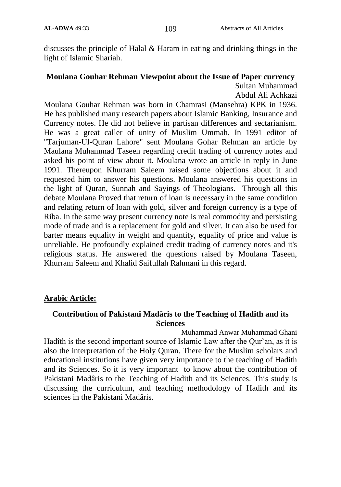discusses the principle of Halal & Haram in eating and drinking things in the light of Islamic Shariah.

# **Moulana Gouhar Rehman Viewpoint about the Issue of Paper currency** Sultan Muhammad

Abdul Ali Achkazi

Moulana Gouhar Rehman was born in Chamrasi (Mansehra) KPK in 1936. He has published many research papers about Islamic Banking, Insurance and Currency notes. He did not believe in partisan differences and sectarianism. He was a great caller of unity of Muslim Ummah. In 1991 editor of "Tarjuman-Ul-Quran Lahore" sent Moulana Gohar Rehman an article by Maulana Muhammad Taseen regarding credit trading of currency notes and asked his point of view about it. Moulana wrote an article in reply in June 1991. Thereupon Khurram Saleem raised some objections about it and requested him to answer his questions. Moulana answered his questions in the light of Quran, Sunnah and Sayings of Theologians. Through all this debate Moulana Proved that return of loan is necessary in the same condition and relating return of loan with gold, silver and foreign currency is a type of Riba. In the same way present currency note is real commodity and persisting mode of trade and is a replacement for gold and silver. It can also be used for barter means equality in weight and quantity, equality of price and value is unreliable. He profoundly explained credit trading of currency notes and it's religious status. He answered the questions raised by Moulana Taseen, Khurram Saleem and Khalid Saifullah Rahmani in this regard.

# **Arabic Article:**

# **Contribution of Pakistani Madâris to the Teaching of Hadith and its Sciences**

Muhammad Anwar Muhammad Ghani Hadîth is the second important source of Islamic Law after the Qur'an, as it is also the interpretation of the Holy Quran. There for the Muslim scholars and educational institutions have given very importance to the teaching of Hadith and its Sciences. So it is very important to know about the contribution of Pakistani Madâris to the Teaching of Hadith and its Sciences. This study is discussing the curriculum, and teaching methodology of Hadith and its sciences in the Pakistani Madâris.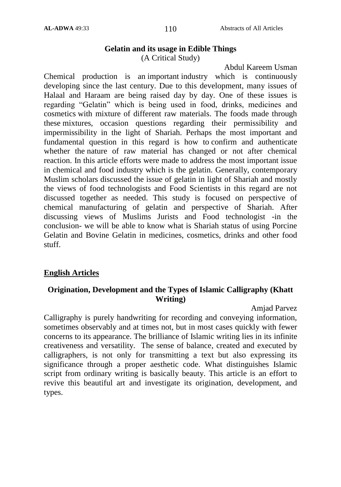#### **Gelatin and its usage in Edible Things**  (A Critical Study)

Abdul Kareem Usman Chemical production is an important industry which is continuously developing since the last century. Due to this development, many issues of Halaal and Haraam are being raised day by day. One of these issues is regarding "Gelatin" which is being used in food, drinks, medicines and cosmetics with mixture of different raw materials. The foods made through these mixtures, occasion questions regarding their permissibility and impermissibility in the light of Shariah. Perhaps the most important and fundamental question in this regard is how to confirm and authenticate whether the nature of raw material has changed or not after chemical reaction. In this article efforts were made to address the most important issue in chemical and food industry which is the gelatin. Generally, contemporary Muslim scholars discussed the issue of gelatin in light of Shariah and mostly the views of food technologists and Food Scientists in this regard are not discussed together as needed. This study is focused on perspective of chemical manufacturing of gelatin and perspective of Shariah. After discussing views of Muslims Jurists and Food technologist -in the conclusion- we will be able to know what is Shariah status of using Porcine Gelatin and Bovine Gelatin in medicines, cosmetics, drinks and other food stuff.

# **English Articles**

# **Origination, Development and the Types of Islamic Calligraphy (Khatt Writing)**

Amjad Parvez

Calligraphy is purely handwriting for recording and conveying information, sometimes observably and at times not, but in most cases quickly with fewer concerns to its appearance. The brilliance of Islamic writing lies in its infinite creativeness and versatility. The sense of balance, created and executed by calligraphers, is not only for transmitting a text but also expressing its significance through a proper aesthetic code. What distinguishes Islamic script from ordinary writing is basically beauty. This article is an effort to revive this beautiful art and investigate its origination, development, and types.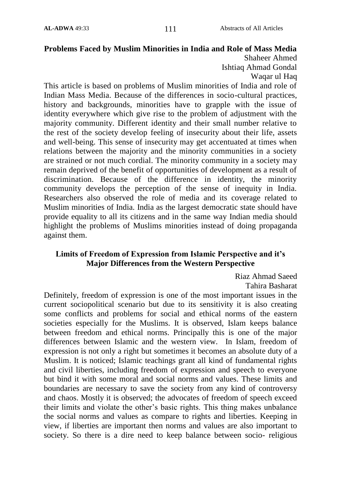# **Problems Faced by Muslim Minorities in India and Role of Mass Media** Shaheer Ahmed

Ishtiaq Ahmad Gondal

Waqar ul Haq

This article is based on problems of Muslim minorities of India and role of Indian Mass Media. Because of the differences in socio-cultural practices, history and backgrounds, minorities have to grapple with the issue of identity everywhere which give rise to the problem of adjustment with the majority community. Different identity and their small number relative to the rest of the society develop feeling of insecurity about their life, assets and well-being. This sense of insecurity may get accentuated at times when relations between the majority and the minority communities in a society are strained or not much cordial. The minority community in a society may remain deprived of the benefit of opportunities of development as a result of discrimination. Because of the difference in identity, the minority community develops the perception of the sense of inequity in India. Researchers also observed the role of media and its coverage related to Muslim minorities of India. India as the largest democratic state should have provide equality to all its citizens and in the same way Indian media should highlight the problems of Muslims minorities instead of doing propaganda against them.

### **Limits of Freedom of Expression from Islamic Perspective and it"s Major Differences from the Western Perspective**

Riaz Ahmad Saeed Tahira Basharat

Definitely, freedom of expression is one of the most important issues in the current sociopolitical scenario but due to its sensitivity it is also creating some conflicts and problems for social and ethical norms of the eastern societies especially for the Muslims. It is observed, Islam keeps balance between freedom and ethical norms. Principally this is one of the major differences between Islamic and the western view. In Islam, freedom of expression is not only a right but sometimes it becomes an absolute duty of a Muslim. It is noticed; Islamic teachings grant all kind of fundamental rights and civil liberties, including freedom of expression and speech to everyone but bind it with some moral and social norms and values. These limits and boundaries are necessary to save the society from any kind of controversy and chaos. Mostly it is observed; the advocates of freedom of speech exceed their limits and violate the other"s basic rights. This thing makes unbalance the social norms and values as compare to rights and liberties. Keeping in view, if liberties are important then norms and values are also important to society. So there is a dire need to keep balance between socio- religious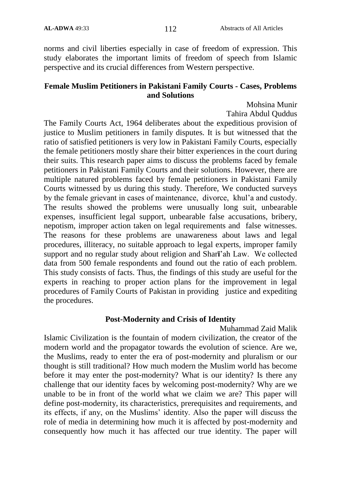norms and civil liberties especially in case of freedom of expression. This study elaborates the important limits of freedom of speech from Islamic perspective and its crucial differences from Western perspective.

### **Female Muslim Petitioners in Pakistani Family Courts - Cases, Problems and Solutions**

Mohsina Munir

Tahira Abdul Quddus

The Family Courts Act, 1964 deliberates about the expeditious provision of justice to Muslim petitioners in family disputes. It is but witnessed that the ratio of satisfied petitioners is very low in Pakistani Family Courts, especially the female petitioners mostly share their bitter experiences in the court during their suits. This research paper aims to discuss the problems faced by female petitioners in Pakistani Family Courts and their solutions. However, there are multiple natured problems faced by female petitioners in Pakistani Family Courts witnessed by us during this study. Therefore, We conducted surveys by the female grievant in cases of maintenance, divorce, khul"a and custody. The results showed the problems were unusually long suit, unbearable expenses, insufficient legal support, unbearable false accusations, bribery, nepotism, improper action taken on legal requirements and false witnesses. The reasons for these problems are unawareness about laws and legal procedures, illiteracy, no suitable approach to legal experts, improper family support and no regular study about religion and Shar**ī**"ah Law. We collected data from 500 female respondents and found out the ratio of each problem. This study consists of facts. Thus, the findings of this study are useful for the experts in reaching to proper action plans for the improvement in legal procedures of Family Courts of Pakistan in providing justice and expediting the procedures.

### **Post-Modernity and Crisis of Identity**

Muhammad Zaid Malik

Islamic Civilization is the fountain of modern civilization, the creator of the modern world and the propagator towards the evolution of science. Are we, the Muslims, ready to enter the era of post-modernity and pluralism or our thought is still traditional? How much modern the Muslim world has become before it may enter the post-modernity? What is our identity? Is there any challenge that our identity faces by welcoming post-modernity? Why are we unable to be in front of the world what we claim we are? This paper will define post-modernity, its characteristics, prerequisites and requirements, and its effects, if any, on the Muslims" identity. Also the paper will discuss the role of media in determining how much it is affected by post-modernity and consequently how much it has affected our true identity. The paper will